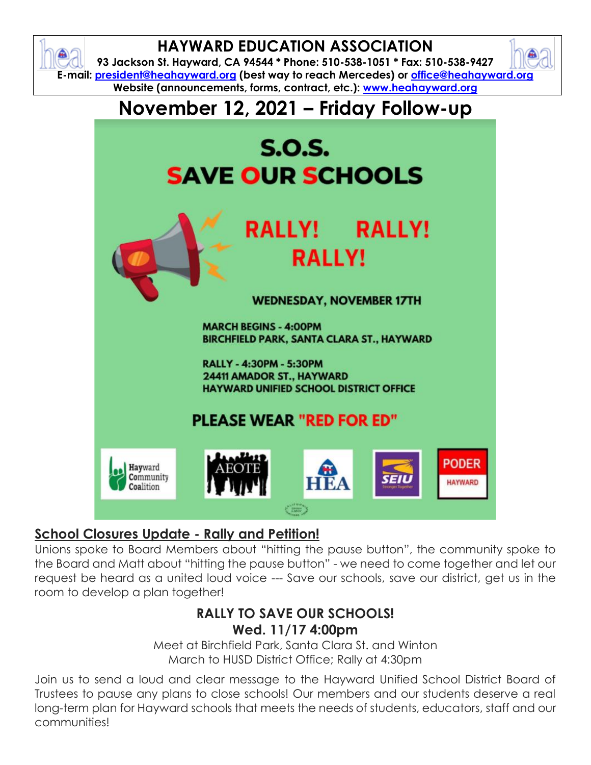

#### **School Closures Update - Rally and Petition!**

Unions spoke to Board Members about "hitting the pause button", the community spoke to the Board and Matt about "hitting the pause button" - we need to come together and let our request be heard as a united loud voice --- Save our schools, save our district, get us in the room to develop a plan together!

#### **RALLY TO SAVE OUR SCHOOLS! Wed. 11/17 4:00pm**

Meet at Birchfield Park, Santa Clara St. and Winton March to HUSD District Office; Rally at 4:30pm

Join us to send a loud and clear message to the Hayward Unified School District Board of Trustees to pause any plans to close schools! Our members and our students deserve a real long-term plan for Hayward schools that meets the needs of students, educators, staff and our communities!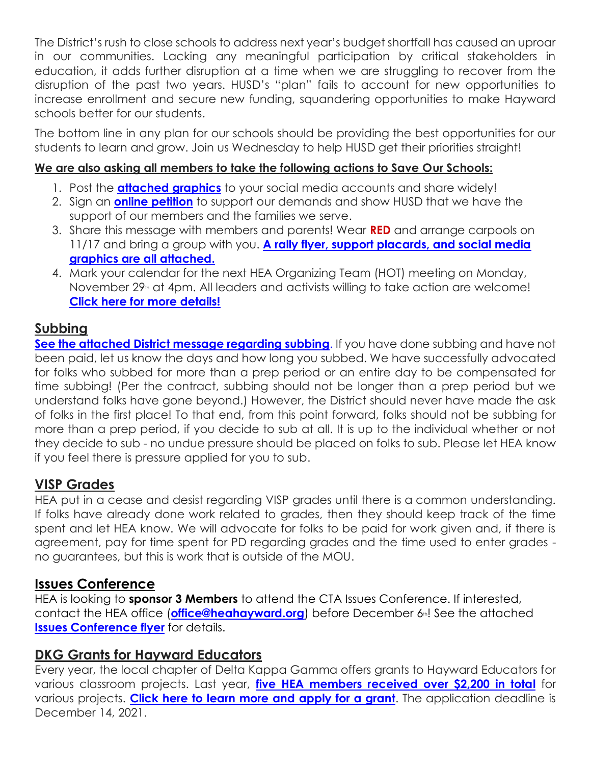The District's rush to close schools to address next year's budget shortfall has caused an uproar in our communities. Lacking any meaningful participation by critical stakeholders in education, it adds further disruption at a time when we are struggling to recover from the disruption of the past two years. HUSD's "plan" fails to account for new opportunities to increase enrollment and secure new funding, squandering opportunities to make Hayward schools better for our students.

The bottom line in any plan for our schools should be providing the best opportunities for our students to learn and grow. Join us Wednesday to help HUSD get their priorities straight!

#### **We are also asking all members to take the following actions to Save Our Schools:**

- 1. Post the **[attached graphics](https://drive.google.com/drive/folders/1UtuMh1oF6ILu-KUdsLbvI3kUw2WHwARi?usp=sharing)** to your social media accounts and share widely!
- 2. Sign an **[online petition](https://seiu1021.good.do/save-hayward-schools/petition/)** to support our demands and show HUSD that we have the support of our members and the families we serve.
- 3. Share this message with members and parents! Wear **RED** and arrange carpools on 11/17 and bring a group with you. **[A rally flyer, support placards, and social media](https://drive.google.com/drive/folders/1UtuMh1oF6ILu-KUdsLbvI3kUw2WHwARi?usp=sharing)  [graphics are all attached.](https://drive.google.com/drive/folders/1UtuMh1oF6ILu-KUdsLbvI3kUw2WHwARi?usp=sharing)**
- 4. Mark your calendar for the next HEA Organizing Team (HOT) meeting on Monday, November 29<sup>th</sup> at 4pm. All leaders and activists willing to take action are welcome! **[Click here for more details!](https://drive.google.com/file/d/1EMkQ_ey_rwljuVav-J57ykoEIh3DxTj7/view?usp=sharing)**

#### **Subbing**

**[See the attached District message regarding subbing](https://drive.google.com/file/d/11ZZvXyAS_a1nnt4cHOnJN8Y6_ax_g8o_/view?usp=sharing)**. If you have done subbing and have not been paid, let us know the days and how long you subbed. We have successfully advocated for folks who subbed for more than a prep period or an entire day to be compensated for time subbing! (Per the contract, subbing should not be longer than a prep period but we understand folks have gone beyond.) However, the District should never have made the ask of folks in the first place! To that end, from this point forward, folks should not be subbing for more than a prep period, if you decide to sub at all. It is up to the individual whether or not they decide to sub - no undue pressure should be placed on folks to sub. Please let HEA know if you feel there is pressure applied for you to sub.

# **VISP Grades**

HEA put in a cease and desist regarding VISP grades until there is a common understanding. If folks have already done work related to grades, then they should keep track of the time spent and let HEA know. We will advocate for folks to be paid for work given and, if there is agreement, pay for time spent for PD regarding grades and the time used to enter grades no guarantees, but this is work that is outside of the MOU.

# **Issues Conference**

HEA is looking to **sponsor 3 Members** to attend the CTA Issues Conference. If interested, contact the HEA office (**[office@heahayward.org](mailto:office@heahayward.org)**) before December 6<sup>th</sup>! See the attached **[Issues Conference flyer](https://drive.google.com/file/d/1S7OegLSHFZJfJ3IklqiF3ofVa2-ulgGr/view?usp=sharing)** for details.

# **DKG Grants for Hayward Educators**

Every year, the local chapter of Delta Kappa Gamma offers grants to Hayward Educators for various classroom projects. Last year, **[five HEA members received over \\$2,200 in total](https://docs.google.com/document/d/1uq81AourgHED3T4g87kZxw79OAnEeijW/edit?usp=sharing&ouid=106387318619838498065&rtpof=true&sd=true)** for various projects. **[Click here to learn more and apply for a grant](https://docs.google.com/document/d/1UEprzQ6PVGT44yprnfeKAQrG1Krajq0J/edit?usp=sharing&ouid=106387318619838498065&rtpof=true&sd=true)**. The application deadline is December 14, 2021.